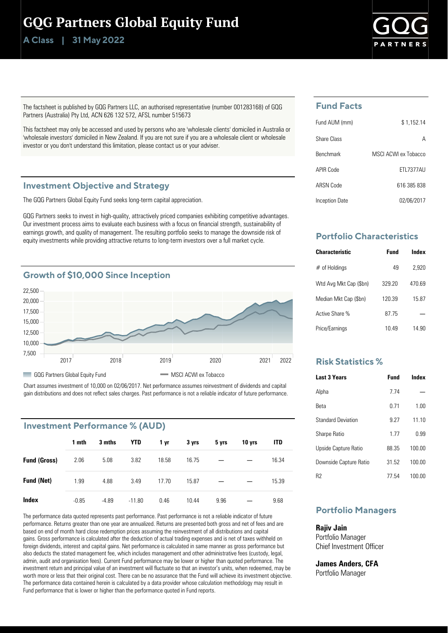# GQG Partners Global Equity Fund

**Class | A 31 May 2022**



The factsheet is published by GQG Partners LLC, an authorised representative (number 001283168) of GQG Partners (Australia) Pty Ltd, ACN 626 132 572, AFSL number 515673

This factsheet may only be accessed and used by persons who are 'wholesale clients' domiciled in Australia or 'wholesale investors' domiciled in New Zealand. If you are not sure if you are a wholesale client or wholesale investor or you don't understand this limitation, please contact us or your adviser.

### **Investment Objective and Strategy**

The GQG Partners Global Equity Fund seeks long-term capital appreciation.

GQG Partners seeks to invest in high-quality, attractively priced companies exhibiting competitive advantages. Our investment process aims to evaluate each business with a focus on financial strength, sustainability of earnings growth, and quality of management. The resulting portfolio seeks to manage the downside risk of equity investments while providing attractive returns to long-term investors over a full market cycle.



Chart assumes investment of 10,000 on 02/06/2017. Net performance assumes reinvestment of dividends and capital gain distributions and does not reflect sales charges. Past performance is not a reliable indicator of future performance.

## **Investment Performance % (AUD)**

|                     | 1 mth   | 3 mths  | YTD      | 1 yr  | 3 yrs | 5 yrs | 10 yrs | ITD   |
|---------------------|---------|---------|----------|-------|-------|-------|--------|-------|
| <b>Fund (Gross)</b> | 2.06    | 5.08    | 3.82     | 18.58 | 16.75 |       |        | 16.34 |
| <b>Fund (Net)</b>   | 1.99    | 4.88    | 3.49     | 17.70 | 15.87 |       |        | 15.39 |
| Index               | $-0.85$ | $-4.89$ | $-11.80$ | 0.46  | 10.44 | 9.96  |        | 9.68  |

The performance data quoted represents past performance. Past performance is not a reliable indicator of future performance. Returns greater than one year are annualized. Returns are presented both gross and net of fees and are based on end of month hard close redemption prices assuming the reinvestment of all distributions and capital gains. Gross performance is calculated after the deduction of actual trading expenses and is net of taxes withheld on foreign dividends, interest and capital gains. Net performance is calculated in same manner as gross performance but also deducts the stated management fee, which includes management and other administrative fees (custody, legal, admin, audit and organisation fees). Current Fund performance may be lower or higher than quoted performance. The investment return and principal value of an investment will fluctuate so that an investor's units, when redeemed, may be worth more or less that their original cost. There can be no assurance that the Fund will achieve its investment objective. The performance data contained herein is calculated by a data provider whose calculation methodology may result in Fund performance that is lower or higher than the performance quoted in Fund reports.

# **Fund Facts**

| Fund AUM (mm)    | \$1,152.14         |
|------------------|--------------------|
| Share Class      | А                  |
| <b>Benchmark</b> | MSCLACWLex Tobacco |
| APIR Code        | FTI 7377AU         |
| ARSN Code        | 616 385 838        |
| Inception Date   | 02/06/2017         |

# **Portfolio Characteristics**

| <b>Characteristic</b>  | Fund   | Index |
|------------------------|--------|-------|
| $#$ of Holdings        | 49     | 2.920 |
| Wtd Avg Mkt Cap (\$bn) | 329 20 | 47069 |
| Median Mkt Cap (\$bn)  | 12039  | 15.87 |
| Active Share %         | 8775   |       |
| Price/Earnings         | 10 49  | 14 90 |

## **Risk Statistics %**

| <b>Last 3 Years</b>       | Fund  | Index  |
|---------------------------|-------|--------|
| Alpha                     | 774   |        |
| Reta                      | 0 71  | 1.00   |
| <b>Standard Deviation</b> | 9 27  | 11.10  |
| <b>Sharpe Ratio</b>       | 1 7 7 | በ 99   |
| Upside Capture Ratio      | 88 35 | 100.00 |
| Downside Capture Ratio    | 31.52 | 100.00 |
| R2                        | 77.54 | 100.00 |

# **Portfolio Managers**

## **Rajiv Jain**

Portfolio Manager Chief Investment Officer

**James Anders, CFA**

Portfolio Manager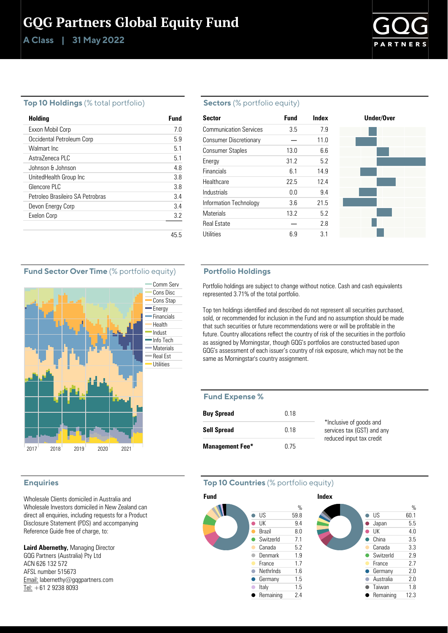# GQG Partners Global Equity Fund

**Class | A 31 May 2022**



### **Top 10 Holdings** (% total portfolio)

| Holding                          | Fund |
|----------------------------------|------|
| Exxon Mobil Corp                 | 7.0  |
| Occidental Petroleum Corp        | 59   |
| Walmart Inc.                     | 51   |
| Astra7eneca PLC                  | 51   |
| Johnson & Johnson                | 48   |
| UnitedHealth Group Inc           | 3.8  |
| Glencore PLC                     | 38   |
| Petroleo Brasileiro SA Petrobras | 34   |
| Devon Energy Corp                | 34   |
| Exelon Corp                      | 32   |
|                                  |      |
|                                  | 45.5 |

#### **Sectors** (% portfolio equity)

| Sector                        | <b>Fund</b> | Index | Under/Over |
|-------------------------------|-------------|-------|------------|
| <b>Communication Services</b> | 3.5         | 7.9   |            |
| <b>Consumer Discretionary</b> |             | 11.0  |            |
| <b>Consumer Staples</b>       | 13.0        | 6.6   |            |
| Energy                        | 31.2        | 5.2   |            |
| <b>Financials</b>             | 6.1         | 14.9  |            |
| Healthcare                    | 22.5        | 12.4  |            |
| Industrials                   | 0.0         | 9.4   |            |
| Information Technology        | 3.6         | 21.5  |            |
| <b>Materials</b>              | 13.2        | 5.2   |            |
| <b>Real Estate</b>            |             | 2.8   |            |
| Utilities                     | 6.9         | 3.1   |            |

## **Fund Sector Over Time** (% portfolio equity)



# **Enquiries**

Wholesale Clients domiciled in Australia and Wholesale Investors domiciled in New Zealand can direct all enquiries, including requests for a Product Disclosure Statement (PDS) and accompanying Reference Guide free of charge, to:

**Laird Abernethy,** Managing Director GQG Partners (Australia) Pty Ltd ACN 626 132 572 AFSL number 515673 Email: labernethy@gqgpartners.com Tel: +61 2 9238 8093

### **Portfolio Holdings**

Portfolio holdings are subject to change without notice. Cash and cash equivalents represented 3.71% of the total portfolio.

Top ten holdings identified and described do not represent all securities purchased, sold, or recommended for inclusion in the Fund and no assumption should be made that such securities or future recommendations were or will be profitable in the future. Country allocations reflect the country of risk of the securities in the portfolio as assigned by Morningstar, though GQG's portfolios are constructed based upon GQG's assessment of each issuer's country of risk exposure, which may not be the same as Morningstar's country assignment.

#### **Fund Expense %**

| <b>Buy Spread</b>      | 0.18 |                                                       |
|------------------------|------|-------------------------------------------------------|
| <b>Sell Spread</b>     | O 18 | *Inclusive of goods and<br>services tax (GST) and any |
| <b>Management Fee*</b> | በ 75 | reduced input tax credit                              |

## **Top 10 Countries** (% portfolio equity)